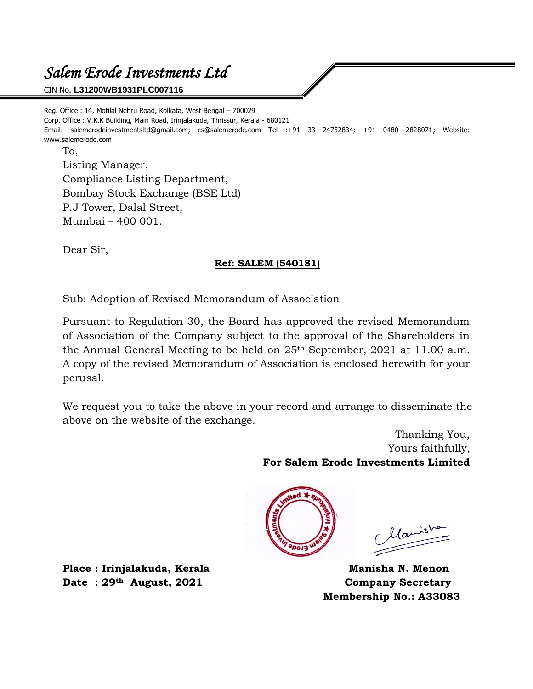# *Salem Erode Investments Ltd*

CIN No. **L31200WB1931PLC007116**

Reg. Office : 14, Motilal Nehru Road, Kolkata, West Bengal – 700029 Corp. Office : V.K.K Building, Main Road, Irinjalakuda, Thrissur, Kerala - 680121 Email: salemerodeinvestmentsltd@gmail.com; cs@salemerode.com Tel :+91 33 24752834; +91 0480 2828071; Website: www.salemerode.com To,

Listing Manager, Compliance Listing Department, Bombay Stock Exchange (BSE Ltd) P.J Tower, Dalal Street, Mumbai – 400 001.

Dear Sir,

## **Ref: SALEM (540181)**

Sub: Adoption of Revised Memorandum of Association

Pursuant to Regulation 30, the Board has approved the revised Memorandum of Association of the Company subject to the approval of the Shareholders in the Annual General Meeting to be held on 25th September, 2021 at 11.00 a.m. A copy of the revised Memorandum of Association is enclosed herewith for your perusal.

We request you to take the above in your record and arrange to disseminate the above on the website of the exchange.

> Thanking You, Yours faithfully, **For Salem Erode Investments Limited**



Maris

**Membership No.: A33083**

Place : Irinjalakuda, Kerala **Manisha N. Menon Date : 29th August, 2021 Company Secretary**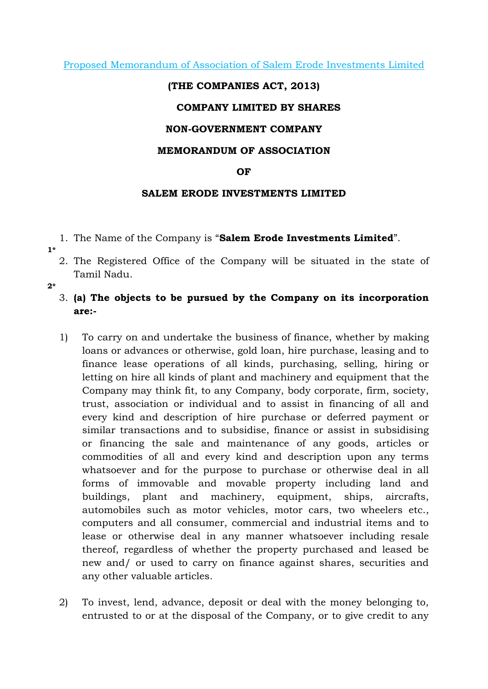Proposed Memorandum of Association of Salem Erode Investments Limited

#### (THE COMPANIES ACT, 2013)

#### COMPANY LIMITED BY SHARES

#### NON-GOVERNMENT COMPANY

#### MEMORANDUM OF ASSOCIATION

#### **OF**

#### SALEM ERODE INVESTMENTS LIMITED

- 1. The Name of the Company is "Salem Erode Investments Limited".
- 1\*
	- 2. The Registered Office of the Company will be situated in the state of Tamil Nadu.
- $2*$ 
	- 3. (a) The objects to be pursued by the Company on its incorporation are:-
	- 1) To carry on and undertake the business of finance, whether by making loans or advances or otherwise, gold loan, hire purchase, leasing and to finance lease operations of all kinds, purchasing, selling, hiring or letting on hire all kinds of plant and machinery and equipment that the Company may think fit, to any Company, body corporate, firm, society, trust, association or individual and to assist in financing of all and every kind and description of hire purchase or deferred payment or similar transactions and to subsidise, finance or assist in subsidising or financing the sale and maintenance of any goods, articles or commodities of all and every kind and description upon any terms whatsoever and for the purpose to purchase or otherwise deal in all forms of immovable and movable property including land and buildings, plant and machinery, equipment, ships, aircrafts, automobiles such as motor vehicles, motor cars, two wheelers etc., computers and all consumer, commercial and industrial items and to lease or otherwise deal in any manner whatsoever including resale thereof, regardless of whether the property purchased and leased be new and/ or used to carry on finance against shares, securities and any other valuable articles.
	- 2) To invest, lend, advance, deposit or deal with the money belonging to, entrusted to or at the disposal of the Company, or to give credit to any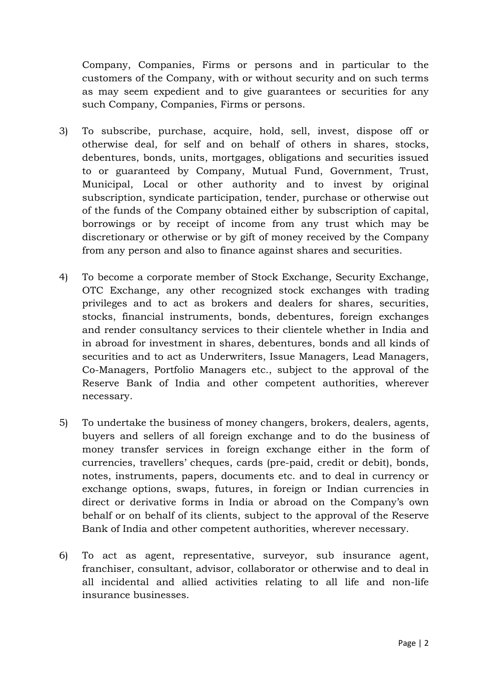Company, Companies, Firms or persons and in particular to the customers of the Company, with or without security and on such terms as may seem expedient and to give guarantees or securities for any such Company, Companies, Firms or persons.

- 3) To subscribe, purchase, acquire, hold, sell, invest, dispose off or otherwise deal, for self and on behalf of others in shares, stocks, debentures, bonds, units, mortgages, obligations and securities issued to or guaranteed by Company, Mutual Fund, Government, Trust, Municipal, Local or other authority and to invest by original subscription, syndicate participation, tender, purchase or otherwise out of the funds of the Company obtained either by subscription of capital, borrowings or by receipt of income from any trust which may be discretionary or otherwise or by gift of money received by the Company from any person and also to finance against shares and securities.
- 4) To become a corporate member of Stock Exchange, Security Exchange, OTC Exchange, any other recognized stock exchanges with trading privileges and to act as brokers and dealers for shares, securities, stocks, financial instruments, bonds, debentures, foreign exchanges and render consultancy services to their clientele whether in India and in abroad for investment in shares, debentures, bonds and all kinds of securities and to act as Underwriters, Issue Managers, Lead Managers, Co-Managers, Portfolio Managers etc., subject to the approval of the Reserve Bank of India and other competent authorities, wherever necessary.
- 5) To undertake the business of money changers, brokers, dealers, agents, buyers and sellers of all foreign exchange and to do the business of money transfer services in foreign exchange either in the form of currencies, travellers' cheques, cards (pre-paid, credit or debit), bonds, notes, instruments, papers, documents etc. and to deal in currency or exchange options, swaps, futures, in foreign or Indian currencies in direct or derivative forms in India or abroad on the Company's own behalf or on behalf of its clients, subject to the approval of the Reserve Bank of India and other competent authorities, wherever necessary.
- 6) To act as agent, representative, surveyor, sub insurance agent, franchiser, consultant, advisor, collaborator or otherwise and to deal in all incidental and allied activities relating to all life and non-life insurance businesses.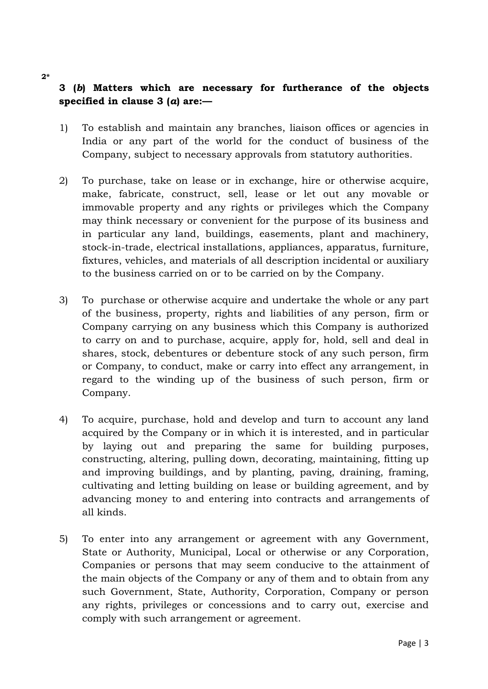# 3 (b) Matters which are necessary for furtherance of the objects specified in clause  $3(a)$  are:-

- 1) To establish and maintain any branches, liaison offices or agencies in India or any part of the world for the conduct of business of the Company, subject to necessary approvals from statutory authorities.
- 2) To purchase, take on lease or in exchange, hire or otherwise acquire, make, fabricate, construct, sell, lease or let out any movable or immovable property and any rights or privileges which the Company may think necessary or convenient for the purpose of its business and in particular any land, buildings, easements, plant and machinery, stock-in-trade, electrical installations, appliances, apparatus, furniture, fixtures, vehicles, and materials of all description incidental or auxiliary to the business carried on or to be carried on by the Company.
- 3) To purchase or otherwise acquire and undertake the whole or any part of the business, property, rights and liabilities of any person, firm or Company carrying on any business which this Company is authorized to carry on and to purchase, acquire, apply for, hold, sell and deal in shares, stock, debentures or debenture stock of any such person, firm or Company, to conduct, make or carry into effect any arrangement, in regard to the winding up of the business of such person, firm or Company.
- 4) To acquire, purchase, hold and develop and turn to account any land acquired by the Company or in which it is interested, and in particular by laying out and preparing the same for building purposes, constructing, altering, pulling down, decorating, maintaining, fitting up and improving buildings, and by planting, paving, draining, framing, cultivating and letting building on lease or building agreement, and by advancing money to and entering into contracts and arrangements of all kinds.
- 5) To enter into any arrangement or agreement with any Government, State or Authority, Municipal, Local or otherwise or any Corporation, Companies or persons that may seem conducive to the attainment of the main objects of the Company or any of them and to obtain from any such Government, State, Authority, Corporation, Company or person any rights, privileges or concessions and to carry out, exercise and comply with such arrangement or agreement.

2\*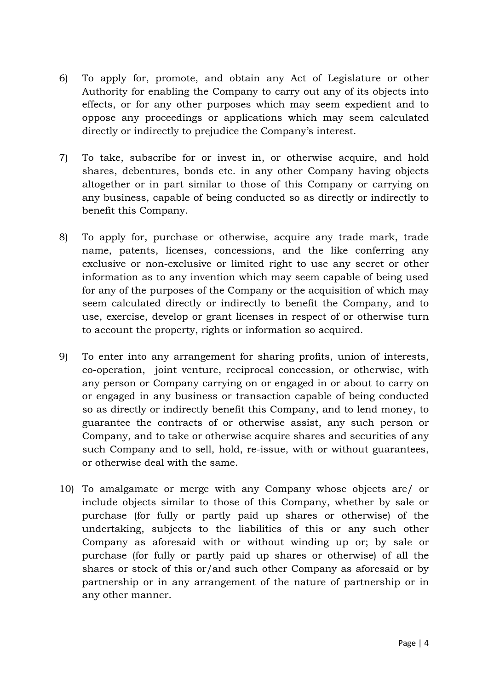- 6) To apply for, promote, and obtain any Act of Legislature or other Authority for enabling the Company to carry out any of its objects into effects, or for any other purposes which may seem expedient and to oppose any proceedings or applications which may seem calculated directly or indirectly to prejudice the Company's interest.
- 7) To take, subscribe for or invest in, or otherwise acquire, and hold shares, debentures, bonds etc. in any other Company having objects altogether or in part similar to those of this Company or carrying on any business, capable of being conducted so as directly or indirectly to benefit this Company.
- 8) To apply for, purchase or otherwise, acquire any trade mark, trade name, patents, licenses, concessions, and the like conferring any exclusive or non-exclusive or limited right to use any secret or other information as to any invention which may seem capable of being used for any of the purposes of the Company or the acquisition of which may seem calculated directly or indirectly to benefit the Company, and to use, exercise, develop or grant licenses in respect of or otherwise turn to account the property, rights or information so acquired.
- 9) To enter into any arrangement for sharing profits, union of interests, co-operation, joint venture, reciprocal concession, or otherwise, with any person or Company carrying on or engaged in or about to carry on or engaged in any business or transaction capable of being conducted so as directly or indirectly benefit this Company, and to lend money, to guarantee the contracts of or otherwise assist, any such person or Company, and to take or otherwise acquire shares and securities of any such Company and to sell, hold, re-issue, with or without guarantees, or otherwise deal with the same.
- 10) To amalgamate or merge with any Company whose objects are/ or include objects similar to those of this Company, whether by sale or purchase (for fully or partly paid up shares or otherwise) of the undertaking, subjects to the liabilities of this or any such other Company as aforesaid with or without winding up or; by sale or purchase (for fully or partly paid up shares or otherwise) of all the shares or stock of this or/and such other Company as aforesaid or by partnership or in any arrangement of the nature of partnership or in any other manner.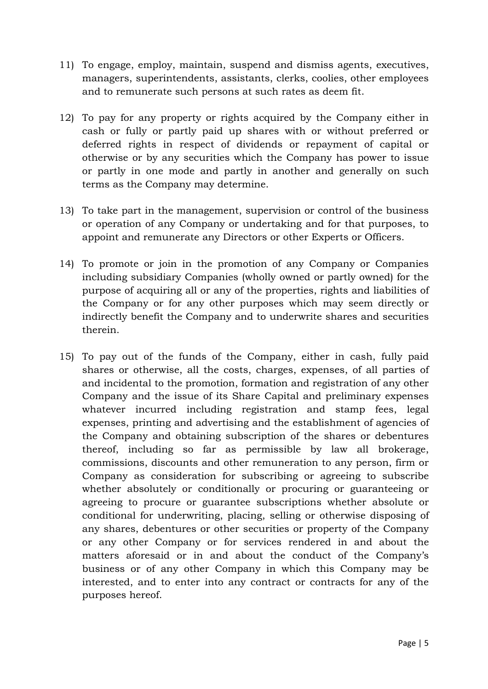- 11) To engage, employ, maintain, suspend and dismiss agents, executives, managers, superintendents, assistants, clerks, coolies, other employees and to remunerate such persons at such rates as deem fit.
- 12) To pay for any property or rights acquired by the Company either in cash or fully or partly paid up shares with or without preferred or deferred rights in respect of dividends or repayment of capital or otherwise or by any securities which the Company has power to issue or partly in one mode and partly in another and generally on such terms as the Company may determine.
- 13) To take part in the management, supervision or control of the business or operation of any Company or undertaking and for that purposes, to appoint and remunerate any Directors or other Experts or Officers.
- 14) To promote or join in the promotion of any Company or Companies including subsidiary Companies (wholly owned or partly owned) for the purpose of acquiring all or any of the properties, rights and liabilities of the Company or for any other purposes which may seem directly or indirectly benefit the Company and to underwrite shares and securities therein.
- 15) To pay out of the funds of the Company, either in cash, fully paid shares or otherwise, all the costs, charges, expenses, of all parties of and incidental to the promotion, formation and registration of any other Company and the issue of its Share Capital and preliminary expenses whatever incurred including registration and stamp fees, legal expenses, printing and advertising and the establishment of agencies of the Company and obtaining subscription of the shares or debentures thereof, including so far as permissible by law all brokerage, commissions, discounts and other remuneration to any person, firm or Company as consideration for subscribing or agreeing to subscribe whether absolutely or conditionally or procuring or guaranteeing or agreeing to procure or guarantee subscriptions whether absolute or conditional for underwriting, placing, selling or otherwise disposing of any shares, debentures or other securities or property of the Company or any other Company or for services rendered in and about the matters aforesaid or in and about the conduct of the Company's business or of any other Company in which this Company may be interested, and to enter into any contract or contracts for any of the purposes hereof.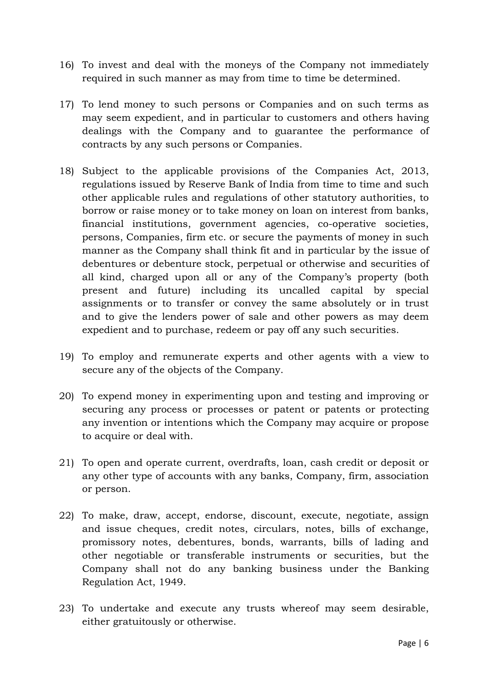- 16) To invest and deal with the moneys of the Company not immediately required in such manner as may from time to time be determined.
- 17) To lend money to such persons or Companies and on such terms as may seem expedient, and in particular to customers and others having dealings with the Company and to guarantee the performance of contracts by any such persons or Companies.
- 18) Subject to the applicable provisions of the Companies Act, 2013, regulations issued by Reserve Bank of India from time to time and such other applicable rules and regulations of other statutory authorities, to borrow or raise money or to take money on loan on interest from banks, financial institutions, government agencies, co-operative societies, persons, Companies, firm etc. or secure the payments of money in such manner as the Company shall think fit and in particular by the issue of debentures or debenture stock, perpetual or otherwise and securities of all kind, charged upon all or any of the Company's property (both present and future) including its uncalled capital by special assignments or to transfer or convey the same absolutely or in trust and to give the lenders power of sale and other powers as may deem expedient and to purchase, redeem or pay off any such securities.
- 19) To employ and remunerate experts and other agents with a view to secure any of the objects of the Company.
- 20) To expend money in experimenting upon and testing and improving or securing any process or processes or patent or patents or protecting any invention or intentions which the Company may acquire or propose to acquire or deal with.
- 21) To open and operate current, overdrafts, loan, cash credit or deposit or any other type of accounts with any banks, Company, firm, association or person.
- 22) To make, draw, accept, endorse, discount, execute, negotiate, assign and issue cheques, credit notes, circulars, notes, bills of exchange, promissory notes, debentures, bonds, warrants, bills of lading and other negotiable or transferable instruments or securities, but the Company shall not do any banking business under the Banking Regulation Act, 1949.
- 23) To undertake and execute any trusts whereof may seem desirable, either gratuitously or otherwise.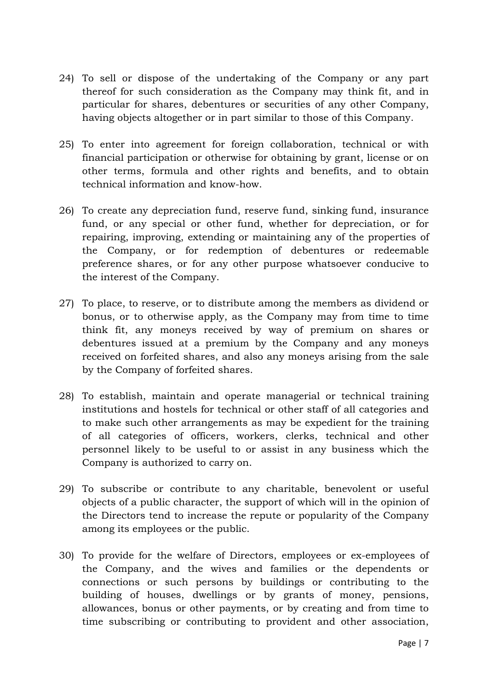- 24) To sell or dispose of the undertaking of the Company or any part thereof for such consideration as the Company may think fit, and in particular for shares, debentures or securities of any other Company, having objects altogether or in part similar to those of this Company.
- 25) To enter into agreement for foreign collaboration, technical or with financial participation or otherwise for obtaining by grant, license or on other terms, formula and other rights and benefits, and to obtain technical information and know-how.
- 26) To create any depreciation fund, reserve fund, sinking fund, insurance fund, or any special or other fund, whether for depreciation, or for repairing, improving, extending or maintaining any of the properties of the Company, or for redemption of debentures or redeemable preference shares, or for any other purpose whatsoever conducive to the interest of the Company.
- 27) To place, to reserve, or to distribute among the members as dividend or bonus, or to otherwise apply, as the Company may from time to time think fit, any moneys received by way of premium on shares or debentures issued at a premium by the Company and any moneys received on forfeited shares, and also any moneys arising from the sale by the Company of forfeited shares.
- 28) To establish, maintain and operate managerial or technical training institutions and hostels for technical or other staff of all categories and to make such other arrangements as may be expedient for the training of all categories of officers, workers, clerks, technical and other personnel likely to be useful to or assist in any business which the Company is authorized to carry on.
- 29) To subscribe or contribute to any charitable, benevolent or useful objects of a public character, the support of which will in the opinion of the Directors tend to increase the repute or popularity of the Company among its employees or the public.
- 30) To provide for the welfare of Directors, employees or ex-employees of the Company, and the wives and families or the dependents or connections or such persons by buildings or contributing to the building of houses, dwellings or by grants of money, pensions, allowances, bonus or other payments, or by creating and from time to time subscribing or contributing to provident and other association,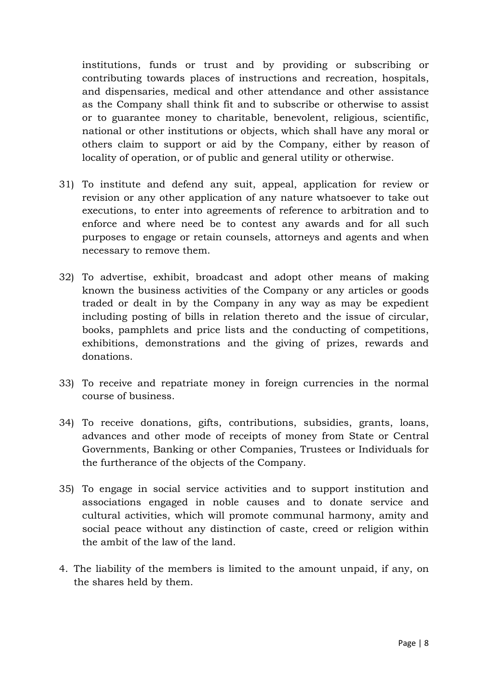institutions, funds or trust and by providing or subscribing or contributing towards places of instructions and recreation, hospitals, and dispensaries, medical and other attendance and other assistance as the Company shall think fit and to subscribe or otherwise to assist or to guarantee money to charitable, benevolent, religious, scientific, national or other institutions or objects, which shall have any moral or others claim to support or aid by the Company, either by reason of locality of operation, or of public and general utility or otherwise.

- 31) To institute and defend any suit, appeal, application for review or revision or any other application of any nature whatsoever to take out executions, to enter into agreements of reference to arbitration and to enforce and where need be to contest any awards and for all such purposes to engage or retain counsels, attorneys and agents and when necessary to remove them.
- 32) To advertise, exhibit, broadcast and adopt other means of making known the business activities of the Company or any articles or goods traded or dealt in by the Company in any way as may be expedient including posting of bills in relation thereto and the issue of circular, books, pamphlets and price lists and the conducting of competitions, exhibitions, demonstrations and the giving of prizes, rewards and donations.
- 33) To receive and repatriate money in foreign currencies in the normal course of business.
- 34) To receive donations, gifts, contributions, subsidies, grants, loans, advances and other mode of receipts of money from State or Central Governments, Banking or other Companies, Trustees or Individuals for the furtherance of the objects of the Company.
- 35) To engage in social service activities and to support institution and associations engaged in noble causes and to donate service and cultural activities, which will promote communal harmony, amity and social peace without any distinction of caste, creed or religion within the ambit of the law of the land.
- 4. The liability of the members is limited to the amount unpaid, if any, on the shares held by them.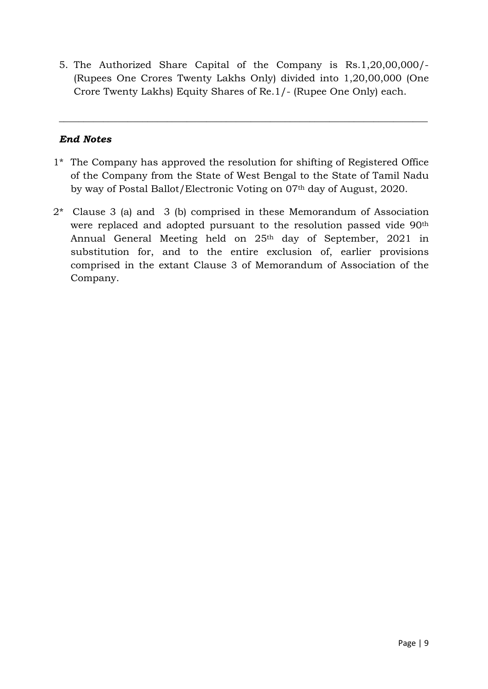5. The Authorized Share Capital of the Company is Rs.1,20,00,000/- (Rupees One Crores Twenty Lakhs Only) divided into 1,20,00,000 (One Crore Twenty Lakhs) Equity Shares of Re.1/- (Rupee One Only) each.

\_\_\_\_\_\_\_\_\_\_\_\_\_\_\_\_\_\_\_\_\_\_\_\_\_\_\_\_\_\_\_\_\_\_\_\_\_\_\_\_\_\_\_\_\_\_\_\_\_\_\_\_\_\_\_\_\_\_\_\_\_\_\_\_\_\_\_\_\_\_\_\_\_\_\_

### End Notes

- 1\* The Company has approved the resolution for shifting of Registered Office of the Company from the State of West Bengal to the State of Tamil Nadu by way of Postal Ballot/Electronic Voting on 07th day of August, 2020.
- 2\* Clause 3 (a) and 3 (b) comprised in these Memorandum of Association were replaced and adopted pursuant to the resolution passed vide 90<sup>th</sup> Annual General Meeting held on 25th day of September, 2021 in substitution for, and to the entire exclusion of, earlier provisions comprised in the extant Clause 3 of Memorandum of Association of the Company.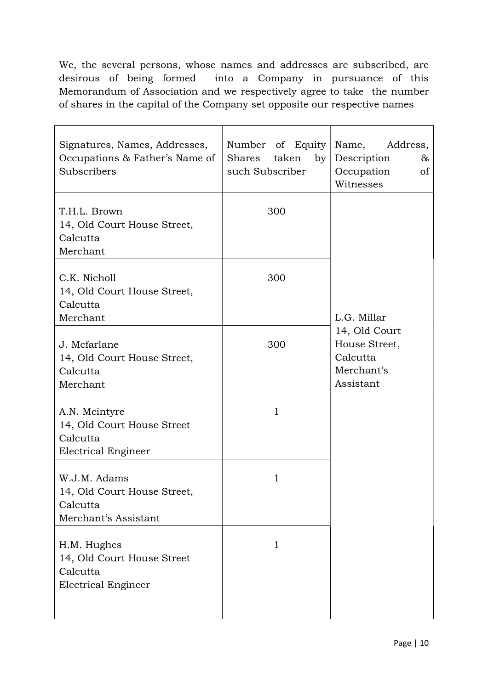We, the several persons, whose names and addresses are subscribed, are desirous of being formed into a Company in pursuance of this Memorandum of Association and we respectively agree to take the number of shares in the capital of the Company set opposite our respective names

| Signatures, Names, Addresses,<br>Occupations & Father's Name of<br>Subscribers        | Number of Equity<br><b>Shares</b><br>taken<br>by<br>such Subscriber | Name,<br>Address,<br>Description<br>&<br>Occupation<br>οf<br>Witnesses |
|---------------------------------------------------------------------------------------|---------------------------------------------------------------------|------------------------------------------------------------------------|
| T.H.L. Brown<br>14, Old Court House Street,<br>Calcutta<br>Merchant                   | 300                                                                 |                                                                        |
| C.K. Nicholl<br>14, Old Court House Street,<br>Calcutta<br>Merchant                   | 300                                                                 | L.G. Millar                                                            |
| J. Mcfarlane<br>14, Old Court House Street,<br>Calcutta<br>Merchant                   | 300                                                                 | 14, Old Court<br>House Street,<br>Calcutta<br>Merchant's<br>Assistant  |
| A.N. Mcintyre<br>14, Old Court House Street<br>Calcutta<br><b>Electrical Engineer</b> | $\mathbf{1}$                                                        |                                                                        |
| W.J.M. Adams<br>14, Old Court House Street,<br>Calcutta<br>Merchant's Assistant       | 1                                                                   |                                                                        |
| H.M. Hughes<br>14, Old Court House Street<br>Calcutta<br><b>Electrical Engineer</b>   | $\mathbf{1}$                                                        |                                                                        |